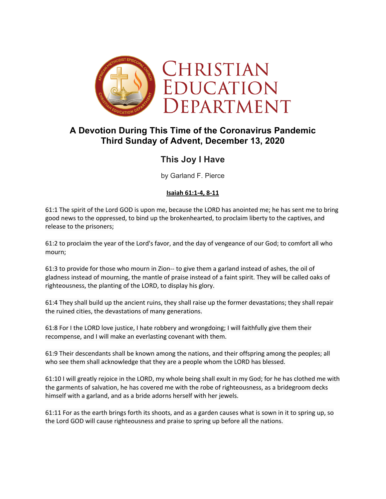

# **A Devotion During This Time of the Coronavirus Pandemic Third Sunday of Advent, December 13, 2020**

## **This Joy I Have**

by Garland F. Pierce

### **Isaiah 61:1-4, 8-11**

61:1 The spirit of the Lord GOD is upon me, because the LORD has anointed me; he has sent me to bring good news to the oppressed, to bind up the brokenhearted, to proclaim liberty to the captives, and release to the prisoners;

61:2 to proclaim the year of the Lord's favor, and the day of vengeance of our God; to comfort all who mourn;

61:3 to provide for those who mourn in Zion-- to give them a garland instead of ashes, the oil of gladness instead of mourning, the mantle of praise instead of a faint spirit. They will be called oaks of righteousness, the planting of the LORD, to display his glory.

61:4 They shall build up the ancient ruins, they shall raise up the former devastations; they shall repair the ruined cities, the devastations of many generations.

61:8 For I the LORD love justice, I hate robbery and wrongdoing; I will faithfully give them their recompense, and I will make an everlasting covenant with them.

61:9 Their descendants shall be known among the nations, and their offspring among the peoples; all who see them shall acknowledge that they are a people whom the LORD has blessed.

61:10 I will greatly rejoice in the LORD, my whole being shall exult in my God; for he has clothed me with the garments of salvation, he has covered me with the robe of righteousness, as a bridegroom decks himself with a garland, and as a bride adorns herself with her jewels.

61:11 For as the earth brings forth its shoots, and as a garden causes what is sown in it to spring up, so the Lord GOD will cause righteousness and praise to spring up before all the nations.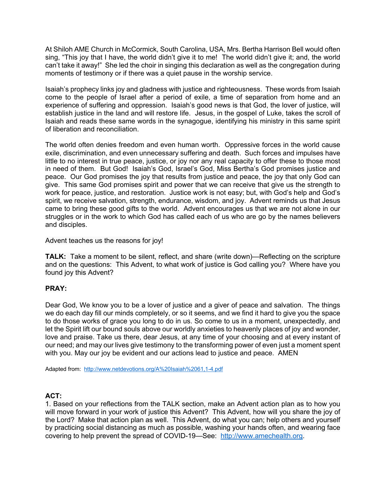At Shiloh AME Church in McCormick, South Carolina, USA, Mrs. Bertha Harrison Bell would often sing, "This joy that I have, the world didn't give it to me! The world didn't give it; and, the world can't take it away!" She led the choir in singing this declaration as well as the congregation during moments of testimony or if there was a quiet pause in the worship service.

Isaiah's prophecy links joy and gladness with justice and righteousness. These words from Isaiah come to the people of Israel after a period of exile, a time of separation from home and an experience of suffering and oppression. Isaiah's good news is that God, the lover of justice, will establish justice in the land and will restore life. Jesus, in the gospel of Luke, takes the scroll of Isaiah and reads these same words in the synagogue, identifying his ministry in this same spirit of liberation and reconciliation.

The world often denies freedom and even human worth. Oppressive forces in the world cause exile, discrimination, and even unnecessary suffering and death. Such forces and impulses have little to no interest in true peace, justice, or joy nor any real capacity to offer these to those most in need of them. But God! Isaiah's God, Israel's God, Miss Bertha's God promises justice and peace. Our God promises the joy that results from justice and peace, the joy that only God can give. This same God promises spirit and power that we can receive that give us the strength to work for peace, justice, and restoration. Justice work is not easy; but, with God's help and God's spirit, we receive salvation, strength, endurance, wisdom, and joy. Advent reminds us that Jesus came to bring these good gifts to the world. Advent encourages us that we are not alone in our struggles or in the work to which God has called each of us who are go by the names believers and disciples.

#### Advent teaches us the reasons for joy!

**TALK:** Take a moment to be silent, reflect, and share (write down)—Reflecting on the scripture and on the questions: This Advent, to what work of justice is God calling you? Where have you found joy this Advent?

### **PRAY:**

Dear God, We know you to be a lover of justice and a giver of peace and salvation. The things we do each day fill our minds completely, or so it seems, and we find it hard to give you the space to do those works of grace you long to do in us. So come to us in a moment, unexpectedly, and let the Spirit lift our bound souls above our worldly anxieties to heavenly places of joy and wonder, love and praise. Take us there, dear Jesus, at any time of your choosing and at every instant of our need; and may our lives give testimony to the transforming power of even just a moment spent with you. May our joy be evident and our actions lead to justice and peace. AMEN

Adapted from: http://www.netdevotions.org/A%20Isaiah%2061,1-4.pdf

### **ACT:**

1. Based on your reflections from the TALK section, make an Advent action plan as to how you will move forward in your work of justice this Advent? This Advent, how will you share the joy of the Lord? Make that action plan as well. This Advent, do what you can; help others and yourself by practicing social distancing as much as possible, washing your hands often, and wearing face covering to help prevent the spread of COVID-19—See: http://www.amechealth.org.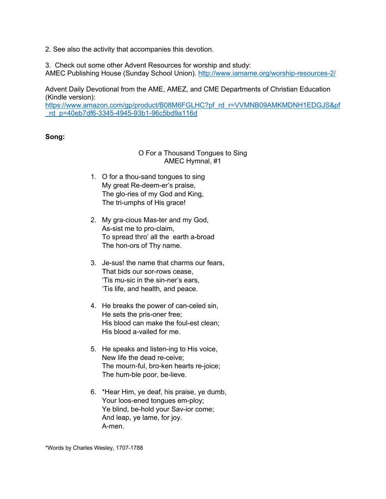2. See also the activity that accompanies this devotion.

3. Check out some other Advent Resources for worship and study: AMEC Publishing House (Sunday School Union). http://www.iamame.org/worship-resources-2/

Advent Daily Devotional from the AME, AMEZ, and CME Departments of Christian Education (Kindle version):

https://www.amazon.com/gp/product/B08M6FGLHC?pf\_rd\_r=VVMNB09AMKMDNH1EDGJS&pf \_rd\_p=40eb7df6-3345-4945-93b1-96c5bd9a116d

#### **Song:**

## O For a Thousand Tongues to Sing AMEC Hymnal, #1

- 1. O for a thou-sand tongues to sing My great Re-deem-er's praise, The glo-ries of my God and King, The tri-umphs of His grace!
- 2. My gra-cious Mas-ter and my God, As-sist me to pro-claim, To spread thro' all the earth a-broad The hon-ors of Thy name.
- 3. Je-sus! the name that charms our fears, That bids our sor-rows cease, 'Tis mu-sic in the sin-ner's ears, 'Tis life, and health, and peace.
- 4. He breaks the power of can-celed sin, He sets the pris-oner free; His blood can make the foul-est clean; His blood a-vailed for me.
- 5. He speaks and listen-ing to His voice, New life the dead re-ceive; The mourn-ful, bro-ken hearts re-joice; The hum-ble poor, be-lieve.
- 6. \*Hear Him, ye deaf, his praise, ye dumb, Your loos-ened tongues em-ploy; Ye blind, be-hold your Sav-ior come; And leap, ye lame, for joy. A-men.